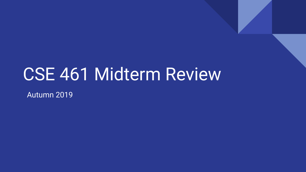## CSE 461 Midterm Review

Autumn 2019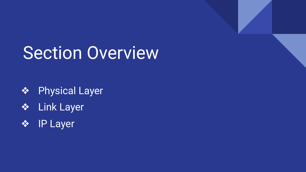## Section Overview

- ❖ Physical Layer
- ❖ Link Layer
- ❖ IP Layer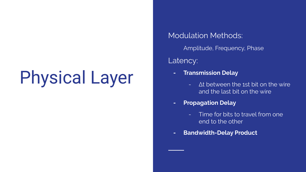# Physical Layer

Modulation Methods:

Amplitude, Frequency, Phase

Latency:

- **- Transmission Delay**
	- Δt between the 1st bit on the wire and the last bit on the wire
- **- Propagation Delay**
	- Time for bits to travel from one end to the other
- **- Bandwidth-Delay Product**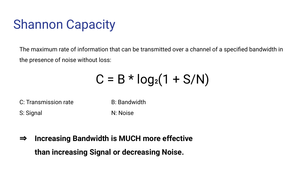### Shannon Capacity

The maximum rate of information that can be transmitted over a channel of a specified bandwidth in the presence of noise without loss:

 $C = B * log<sub>2</sub>(1 + S/N)$ 

C: Transmission rate B: Bandwidth S: Signal N: Noise

⇒ **Increasing Bandwidth is MUCH more effective than increasing Signal or decreasing Noise.**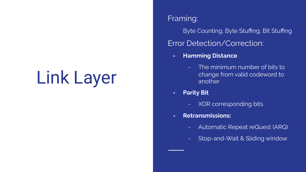## Link Layer

#### Framing:

Byte Counting, Byte Stuffing, Bit Stuffing Error Detection/Correction:

- **- Hamming Distance**
	- The minimum number of bits to change from valid codeword to another
- **- Parity Bit**
	- XOR corresponding bits
- **- Retransmissions:**
	- Automatic Repeat reQuest (ARQ)
	- Stop-and-Wait & Sliding window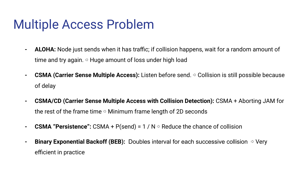#### Multiple Access Problem

- **- ALOHA:** Node just sends when it has traffic; if collision happens, wait for a random amount of time and try again.  $\Rightarrow$  Huge amount of loss under high load
- **- CSMA (Carrier Sense Multiple Access):** Listen before send. ⇨ Collision is still possible because of delay
- **- CSMA/CD (Carrier Sense Multiple Access with Collision Detection):** CSMA + Aborting JAM for the rest of the frame time  $\Rightarrow$  Minimum frame length of 2D seconds
- **- CSMA "Persistence":** CSMA + P(send) = 1 / N ⇨ Reduce the chance of collision
- **- Binary Exponential Backoff (BEB):** Doubles interval for each successive collision ⇨ Very efficient in practice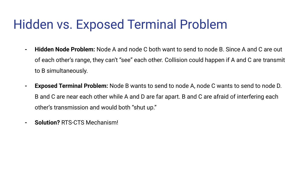### Hidden vs. Exposed Terminal Problem

- **- Hidden Node Problem:** Node A and node C both want to send to node B. Since A and C are out of each other's range, they can't "see" each other. Collision could happen if A and C are transmit to B simultaneously.
- **- Exposed Terminal Problem:** Node B wants to send to node A, node C wants to send to node D. B and C are near each other while A and D are far apart. B and C are afraid of interfering each other's transmission and would both "shut up."
- **- Solution?** RTS-CTS Mechanism!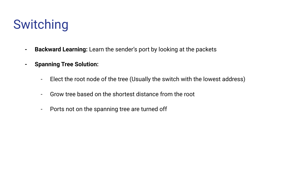### Switching

- **- Backward Learning:** Learn the sender's port by looking at the packets
- **- Spanning Tree Solution:**
	- Elect the root node of the tree (Usually the switch with the lowest address)
	- Grow tree based on the shortest distance from the root
	- Ports not on the spanning tree are turned off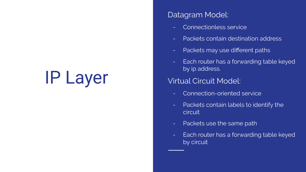# IP Layer

#### Datagram Model:

- Connectionless service
- Packets contain destination address
- Packets may use different paths
- Each router has a forwarding table keyed by ip address.

#### Virtual Circuit Model:

- Connection-oriented service
- Packets contain labels to identify the **circuit**
- Packets use the same path
- Each router has a forwarding table keyed by circuit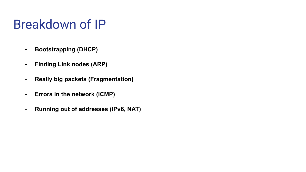#### Breakdown of IP

- **- Bootstrapping (DHCP)**
- **- Finding Link nodes (ARP)**
- **- Really big packets (Fragmentation)**
- **- Errors in the network (ICMP)**
- **- Running out of addresses (IPv6, NAT)**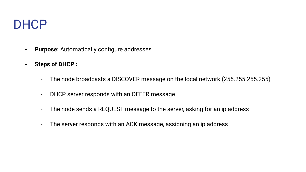#### DHCP

- **- Purpose:** Automatically configure addresses
- **- Steps of DHCP :**
	- The node broadcasts a DISCOVER message on the local network (255.255.255.255)
	- DHCP server responds with an OFFER message
	- The node sends a REQUEST message to the server, asking for an ip address
	- The server responds with an ACK message, assigning an ip address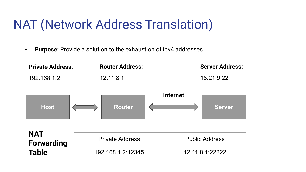### NAT (Network Address Translation)

**- Purpose:** Provide a solution to the exhaustion of ipv4 addresses

| <b>Private Address:</b>         | <b>Router Address:</b> | <b>Server Address:</b>           |
|---------------------------------|------------------------|----------------------------------|
| 192.168.1.2                     | 12.11.8.1              | 18.21.9.22                       |
| <b>Host</b>                     | <b>Router</b>          | <b>Internet</b><br><b>Server</b> |
| <b>NAT</b><br><b>Forwarding</b> | <b>Private Address</b> | <b>Public Address</b>            |
| <b>Table</b>                    | 192.168.1.2:12345      | 12.11.8.1:22222                  |